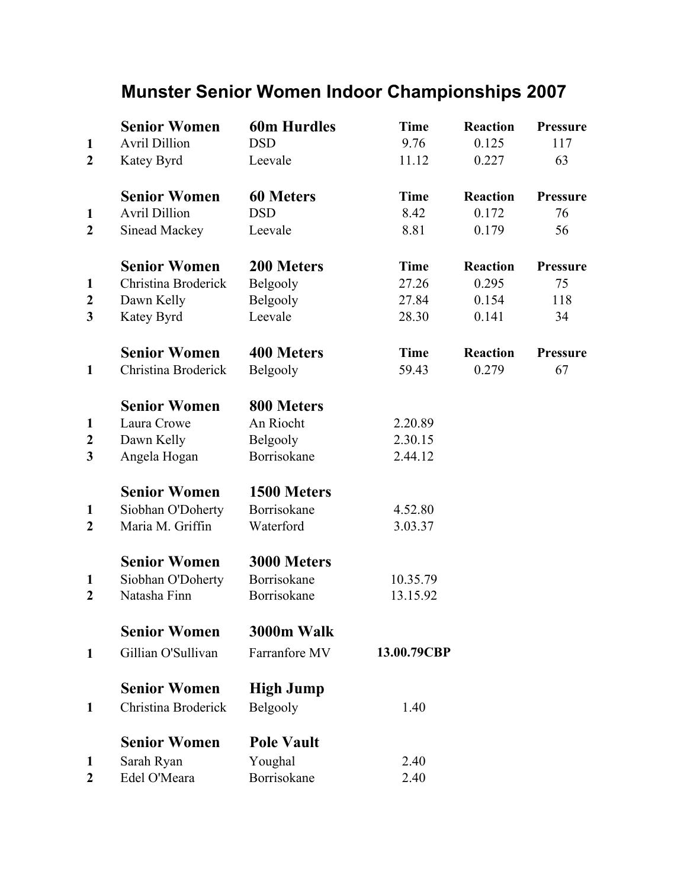## Munster Senior Women Indoor Championships 2007

|                       | <b>Senior Women</b>        | <b>60m Hurdles</b>     | <b>Time</b> | <b>Reaction</b> | Pressure        |
|-----------------------|----------------------------|------------------------|-------------|-----------------|-----------------|
| $\mathbf{1}$          | <b>Avril Dillion</b>       | <b>DSD</b>             | 9.76        | 0.125           | 117             |
| $\overline{2}$        | Katey Byrd                 | Leevale                | 11.12       | 0.227           | 63              |
|                       | <b>Senior Women</b>        | <b>60 Meters</b>       | <b>Time</b> | Reaction        | <b>Pressure</b> |
| 1                     | <b>Avril Dillion</b>       | <b>DSD</b>             | 8.42        | 0.172           | 76              |
| $\overline{2}$        | Sinead Mackey              | Leevale                | 8.81        | 0.179           | 56              |
|                       | <b>Senior Women</b>        | 200 Meters             | <b>Time</b> | <b>Reaction</b> | Pressure        |
| $\mathbf{1}$          | Christina Broderick        | Belgooly               | 27.26       | 0.295           | 75              |
| $\boldsymbol{2}$      | Dawn Kelly                 | Belgooly               | 27.84       | 0.154           | 118             |
| 3                     | Katey Byrd                 | Leevale                | 28.30       | 0.141           | 34              |
|                       | <b>Senior Women</b>        | <b>400 Meters</b>      | <b>Time</b> | Reaction        | <b>Pressure</b> |
| $\mathbf{1}$          | Christina Broderick        | Belgooly               | 59.43       | 0.279           | 67              |
|                       | <b>Senior Women</b>        | 800 Meters             |             |                 |                 |
| 1                     | Laura Crowe                | An Riocht              | 2.20.89     |                 |                 |
| $\boldsymbol{2}$      | Dawn Kelly                 | Belgooly               | 2.30.15     |                 |                 |
| 3                     | Angela Hogan               | Borrisokane            | 2.44.12     |                 |                 |
|                       | <b>Senior Women</b>        | 1500 Meters            |             |                 |                 |
| 1                     | Siobhan O'Doherty          | Borrisokane            | 4.52.80     |                 |                 |
| $\overline{2}$        | Maria M. Griffin           | Waterford              | 3.03.37     |                 |                 |
|                       | <b>Senior Women</b>        | 3000 Meters            |             |                 |                 |
| $\mathbf{1}$          | Siobhan O'Doherty          | Borrisokane            | 10.35.79    |                 |                 |
| $\overline{2}$        | Natasha Finn               | Borrisokane            | 13.15.92    |                 |                 |
|                       | <b>Senior Women</b>        | 3000m Walk             |             |                 |                 |
| $\mathbf{1}$          | Gillian O'Sullivan         | Farranfore MV          | 13.00.79CBP |                 |                 |
|                       | <b>Senior Women</b>        | <b>High Jump</b>       |             |                 |                 |
| 1                     | Christina Broderick        | Belgooly               | 1.40        |                 |                 |
|                       | <b>Senior Women</b>        | <b>Pole Vault</b>      |             |                 |                 |
|                       |                            |                        |             |                 |                 |
| 1<br>$\boldsymbol{2}$ | Sarah Ryan<br>Edel O'Meara | Youghal<br>Borrisokane | 2.40        |                 |                 |
|                       |                            |                        | 2.40        |                 |                 |